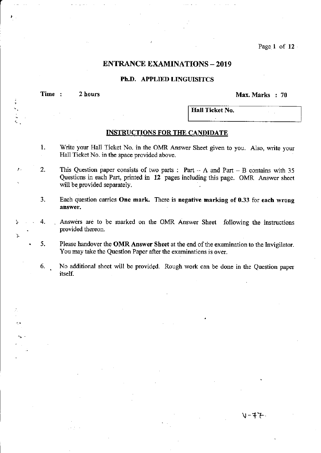Page 1 of 12

# **ENTRANCE EXAMINATIONS - 2019**

### Ph.D. APPLIED LINGUISITCS

Time : 2 hours Max. Marks : 70

"

÷,

 $V-4$   $\leftarrow$ 

Hall Ticket No.

### **INSTRUCTIONS FOR THE CANDIDATE**

- 1. 'Write your Hall Ticket No. in the OMR Answer Sheet given to you. Also, write your Hall Ticket No. in the space provided above.
- 2. This Question paper consists of two parts : Part  $-A$  and Part  $-B$  contains with 35 Questions in each Part, printed in 12 pages including this page. OMR Answer sheet will be provided separately.
- 3. Each question carries One mark. There is negative marking of 0.33 for each wrong ahswer.
- 4. Answers are to be marked on the OMR Answer Sheet following the instructions . provided thereon.
- 5. Please handover the OMR Answer Sheet at the end of the examination to the Invigilator. You may take the Question Papet after the examinations is over.
- 6. No additional sheet will be provided. Rough work can be done in the Question paper itself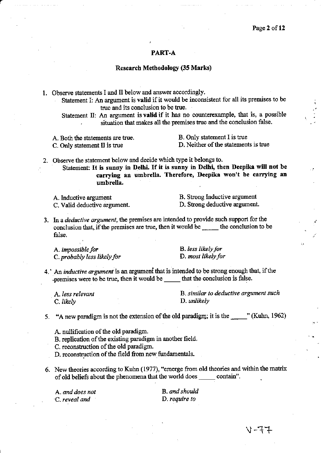### PART-A

### **Research Methodology (35 Marks)**

1. Observe statements I and II below and answer accordingly.

Statement I: An argument is valid if it would be inconsistent for all its premises to be true and its conclusion to be true.

Statement II: An argument is valid if it has no counterexample, that is, a possible situation that makes all the premises true and the conclusion false.

A. Both the statements are true. C. Only statement II is true

B. Only statement I is true D. Neither of the statements is true

2. Observe the statement below and decide which type it belongs to.

Statement: It is sunny in Delhi. If it is sunny in Delhi, then Deepika will not be carrying an umbrella. Therefore, Deepika won't be carrying an umbrella.

A. Inductive argument C. Valid deductive argument. B. Strong Inductive argument D. Strong deductive argument.

3. In a *deductive argument*, the premises are intended to provide such support for the conclusion that, if the premises are true, then it would be \_\_\_\_\_ the conclusion to be false.

A. impossible for C. probably less likely for **B.** less likely for D. most likely for

4. An *inductive argument* is an argument that is intended to be strong enough that, if the -premises were to be true, then it would be \_\_\_\_\_\_ that the conclusion is false.

A. less relevant C. likely

B. similar to deductive argument such D. unlikely

5. "A new paradigm is not the extension of the old paradigm; it is the \_\_\_\_\_\_" (Kuhn, 1962)

A. nullification of the old paradigm.

B. replication of the existing paradigm in another field.

C. reconstruction of the old paradigm.

- D. reconstruction of the field from new fundamentals.
- 6. New theories according to Kuhn (1977), "emerge from old theories and within the matrix of old beliefs about the phenomena that the world does \_\_\_\_\_\_\_ contain".

A. and does not C. reveal and

B. and should D. require to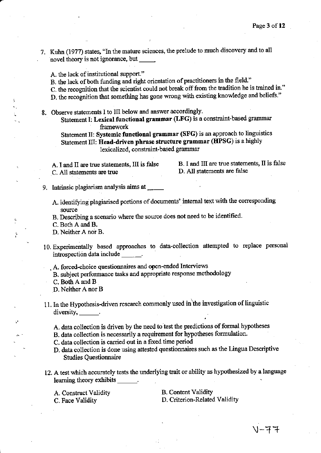- 7. Kuhn (1977) states, "In the mature sciences, the prelude to much discovery and to all novel theory is not ignorance, but
	- A. the lack of institutional support."
	- B. the lack of both funding and right orientation of practitioners in the field."

C. the recognition that the scientist could not break off from the tradition he is trained in."

- D. the recognition that something has gone wrong with existing knowledge and beliefs."
- 8. Observe statements I to III below and answer accordingly.

Statement I: Lexical functional grammar (LFG) is a constraint-based grammar framework

Statement II; Systemic functional grammar (SFG) is an approach to linguistics Statement III: Head-driven phrase structure grammar (HPSG) is a highly lexicalized, constraint-based grammar

C. All statements are true

A. I and II are true statements, III is false B. I and III are true statements, II is false D. All statements are false

- 9. Intrinsic plagiarism amlysis aims at
	- A. identifying plagiarised portions of documents' internal text with the corresponding source
	- B. Describing a scenario where the source does not need to be identified. C. Both A and B.

: D. Neither A nor B.

- 10. Experimentally based approaches to data-collection attempted to replace personal introspection data include
	- . A. forced-choice questiormaires and open-ended Interviews
	- B. subject performance tasks and appropriate response methodology

C. Both A and B

D. Neither A nor B

- 11. In the Hypothesis-driven research commonly used in the investigation of linguistic diversity, 1.
	- A. data collection is driven by the need to test the predictions of formal hypotheses
	- A. data collection is driven by the nece to lest the predictions of formulation.<br>B. data collection is necessarily a requirement for hypotheses formulation.
	- C, data collection is carried out in a fixed time period
	- D, data collection is done using attested questionnaires such as the Lingua Descriptive ' Studies Questionnaire
- 12. A test which accurately tests the underlying trait or ability as hypothesized by a language learning theory exhibits \_\_\_\_\_\_.

A. Construct Validity C. Face Validity

B. Content Validity D. Criterion-Related Validity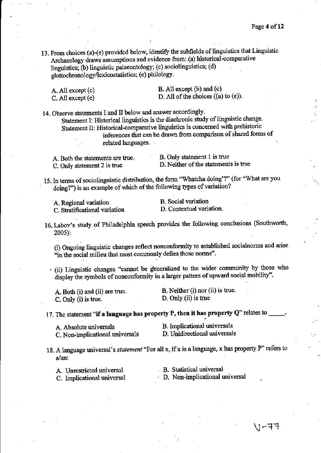13. From choices (a)-(e) provided below, identify the subfields of linguistics that Linguistic Archaeology draws assumptions and evidence from: (a) historical-comparative linguistics; (b) linguistic palaeontology; (c) sociolinguistics; (d) glottochronology/lexicostatistics; (e) philology.

| A. All except (c) | $B.$ All except $(b)$ and $(c)$          |
|-------------------|------------------------------------------|
| C. All except (e) | D. All of the choices $((a)$ to $(e)$ ). |

14. Observe statements I and II below and answer accordingly. Statement I: Historical linguistics is the diachronic study of linguistic change. Statement II: Historical-comparative linguistics is concerned with prehistoric inferences tliat can be drawn ftom comparison of shared forms of related languages.

A. Both the statements are true. C. Only statement 2 is true

B. Only statement I is tme D. Neither of the statements is true

15. In terms of sociolinguistic distribution, the form "Whatcha doing'?" (for "What are you doing?") is an example of which of the following types of variation?

| A. Regional variation         | B. Social variation      |
|-------------------------------|--------------------------|
| C. Stratificational variation | D. Contextual variation. |

16. Labov's study of Philadelphia speech provides the following conclusions (Southworth, 2005):

(i) Ongoing linguistic changes reflect nonconformity to established socialnorms and arise "in the social milieu that most commonly defies those norms".

. (ii) Linguistic changes "cannot be generalized to the wider community by those who display the symbols of nonconformity in a larger pattern of upward social mobility".

A. Both (i) and (ii) are true. C. Only (i) is true.

B. Neither (i) nor (ii) is true. D. Only (ii) is true

17. The statement "if a language has property P, then it has property Q" relates to  $\qquad$ .

| A. Absolute universals          | B. Implicational universals  |
|---------------------------------|------------------------------|
| C. Non-implicational universals | D. Unidirectional universals |

18. A language universal's statement "For all x, if x is a language, x has property P" refers to a/an:

A. Unrestricted universal

C. Implicational universal

B. Statistical universal

D. Non-implicational universal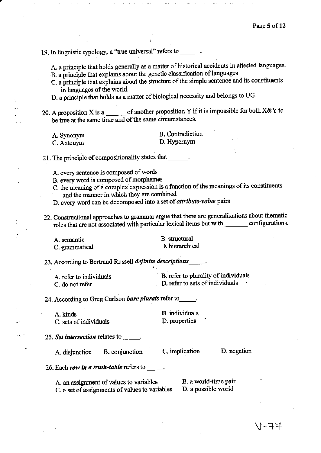19. In linguistic typology, a "true universal" refers to \_\_\_\_\_

A. a principle that holds generally as a matter of historical accidents in attested languages. B. a principle that explains about the genetic classification of languages

- C. a principle that explains about the structure of the simple sentence and its constituents in languages of the world.
- D. a principle that holds as a matter of biological necessity and belongs to UG.

20. A proposition X is a  $\_\_\_\_$  of another proposition Y if it is impossible for both X&Y to be true at the same time and of the same circumstances.

**B.** Contradiction A. Synonym D. Hypernym C. Antonym

21. The principle of compositionality states that \_\_\_\_\_\_\_

- A. every sentence is composed of words
- B. every word is composed of morphemes
- C. the meaning of a complex expression is a function of the meanings of its constituents and the manner in which they are combined
- D. every word can be decomposed into a set of attribute-value pairs
- 22. Constructional approaches to grammar argue that there are generalizations about thematic roles that are not associated with particular lexical items but with \_\_\_\_\_\_\_\_ configurations.

A. semantic C. grammatical

**B.** structural D. hierarchical

23. According to Bertrand Russell *definite descriptions* 

| A, refer to individuals | B. refer to plurality of individuals |
|-------------------------|--------------------------------------|
| C, do not refer         | D. refer to sets of individuals      |

24. According to Greg Carlson bare plurals refer to

A. kinds C. sets of individuals

**B.** individuals D. properties

25. Set intersection relates to  $\frac{1}{\sqrt{1-\frac{1}{n}}}$ .

A. disjunction B. conjunction C. implication

D. negation

26. Each row in a truth-table refers to

A. an assignment of values to variables C. a set of assignments of values to variables

B. a world-time pair D. a possible world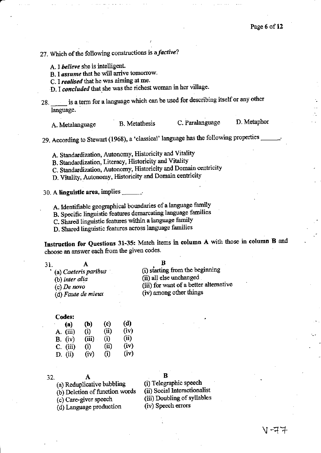# 27. Which of the following constructions is a *factive*?

A. I believe she is intelligent.

B. I assume that he will arrive tomorrow.

C. I realised that he was aiming at me.

D. I concluded that she was the richest woman in her village.

is a term for a language which can be used for describing itself or any other 28. language.

D. Metaphor C. Paralanguage **B.** Metathesis A. Metalanguage

29. According to Stewart (1968), a 'classical' language has the following properties

A. Standardization, Autonomy, Historicity and Vitality

B. Standardization, Literacy, Historicity and Vitality

C. Standardization, Autonomy, Historicity and Domain centricity

D. Vitality, Autonomy, Historicity and Domain centricity

#### 30. A linguistic area, implies  $\Box$

A. Identifiable geographical boundaries of a language family

B. Specific linguistic features demarcating language families

C. Shared linguistic features within a language family

D. Shared linguistic features across language families

Instruction for Questions 31-35: Match items in column A with those in column B and choose an answer each from the given codes.

| * (a) Caeteris paribus | (i) starting from the beginning        |
|------------------------|----------------------------------------|
| (b) inter alia         | (ii) all else unchanged                |
| (c) De novo            | (iii) for want of a better alternative |
| (d) Faute de mieux     | (iv) among other things                |

#### Codes:

| (a)            | (b)   | (c)  | (d)  |
|----------------|-------|------|------|
| A. (iii)       | (i)   | (ii) | (iv) |
| <b>B.</b> (iv) | (iii) | (i)  | (ii) |
| $C.$ (iii)     | (i)   | (ii) | (iv) |
| $D.$ (ii)      | (iv)  | (i)  | (iv) |

32.

 $\overline{\mathbf{3}}$ 

(a) Reduplicative babbling

(b) Deletion of function words

(c) Care-giver speech

(d) Language production

B

(i) Telegraphic speech

(ii) Social Interactionalist

(iii) Doubling of syllables

(iv) Speech errors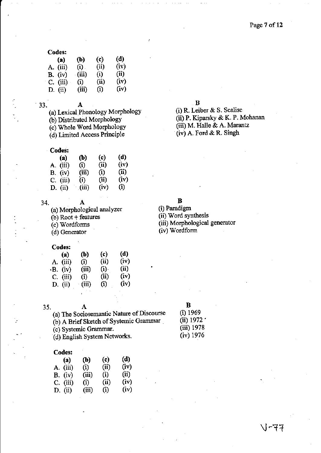| Codes:     |            |      |      |
|------------|------------|------|------|
| (a)        | <b>(b)</b> | (c)  | (d)  |
| A. (iii)   | $(i)$ .    | (ii) | (iv) |
| $B.$ (iv)  | (iii)      | (i)  | (ii) |
| $C.$ (iii) | (i)        | (ii) | (iv) |
| $D.$ (ii)  | (iii)      | (i)  | (iv) |

33.

- (a) Lexical PhonologY MorPhologY
- (b) Distributed Morphology

A

- (c) Whole Word MorPhologY
- (d) Limited Access Principle

### Codes:

| (a)        | $\mathbf{b}$ | (c)  | (d)  |
|------------|--------------|------|------|
| A. (iii)   | (i)          | (ii) | (iv) |
| B. (iv)    | (iii)        | (i)  | (ii) |
| $C.$ (iii) | (i)          | (ii) | (iv) |
| D. $(ii)$  | (iii)        | (iv) | (i)  |

34.

(a) Morphological analyzer (b) Root + features

А

(c) Wordforms

(d) Genentor

#### Codes:

| (a)        | (b)   | (c)     | (d)  |
|------------|-------|---------|------|
| A. (iii)   | (i)   | (ii)    | (iv) |
| -B. (iv)   | (iii) | $(i)$ . | (ii) |
| $C.$ (iii) | (i)   | (ii)    | (iv) |
| D. (ii)    | (iii) | (i)     | (iv) |

| __ | ٠ | ٠<br>m |
|----|---|--------|

# B (i) 1969

(ii) 1972'

| 35. | А                                         |
|-----|-------------------------------------------|
|     | (a) The Sociosemantic Nature of Discourse |
|     | (b) A Brief Sketch of Systemic Grammar    |
|     | (c) Systemic Grammar.                     |
|     | (d) English System Networks.              |

#### Codes:

| (a) | (b)                                                      | (c)  | (d)  |
|-----|----------------------------------------------------------|------|------|
|     | (i)                                                      | (ii) | (iv) |
|     | (iii)                                                    | (i)  | (ii) |
|     | (i)                                                      | (ii) | (iv) |
|     | (iii)                                                    | (i)  | (iv) |
|     | ------<br>A. (iii)<br>B. (iv)<br>$C.$ (iii)<br>$D.$ (ii) |      |      |

### B

(i) R. Leiber & S. Scalise (ii) P. Kiparsky & K. P. Mohanan (iii) M. Halle & A. Marantz (iv) A. Ford & R. Singh

B

(i) Paradign (ii) Word synthesis (iii) Morphological generator (iv) Wordforn

| $(iii)$ 1978<br>$(iv)$ 1976 |  |
|-----------------------------|--|
|                             |  |

# \J-17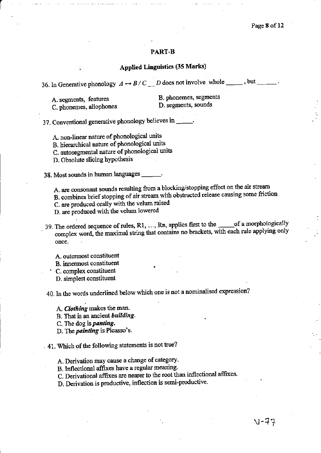# **PART-B**

# **Applied Linguistics (35 Marks)**

| A. segments, features | B. phoneme  |
|-----------------------|-------------|
| C shonamae allonhones | D. segments |

es, segments

C. phonemes, allophones

s, sounds

37. Conventional generative phonology believes in \_

A. non-linear nature of phonological units

B. hierarchical nature of phonological units

C. autosegmental nature of phonological units

D. Obsolute slicing hypothesis

38. Most sounds in human languages

A. are consonant sounds resulting from a blocking/stopping effect on the air stream

B. combines brief stopping of air stream with obstructed release causing some friction

C, are produced orally with the velum raised

D. are produced with the velum lowered

- 39. The ordered sequence of rules, R1, ..., Rn, applies first to the \_\_\_\_\_\_ of a morphologically complex word, the maximal string that contains no brackets, with each rule applying only once.
	- A. outermost constituent

**B.** innermost constituent

C. complex constituent

D. simplest constituent

40. In the words underlined below which one is not a nominalised expression?

A. Clothing makes the man.

B. That is an ancient building.

C. The dog is *panting*.

D. The *painting* is Picasso's.

41. Which of the following statements is not true?

A. Derivation may cause a change of category.

B. Inflectional affixes have a regular meaning.

C. Derivational affixes are nearer to the root than inflectional affixes.

D. Derivation is productive, inflection is semi-productive.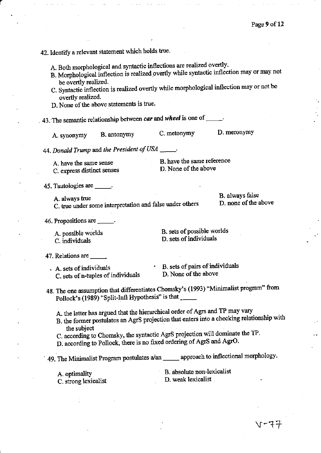# 42. Identify a relevant statement which holds true.

- A. Both morphological and syntactic inflections are realized overtly.
- B. Morphological inflection is realized overtly while syntactic inflection may or may not be overtly realized.
- C. Syntactic inflection is realized overtly while morphological inflection may or not be overtly realized.
- D. None of the above statements is true.

43. The semantic relationship between car and wheel is one of  $\frac{1}{\sqrt{1-\frac{1}{n}}}$ 

D. meronymy C. metonymy B. antonymy A. synonymy

44. Donald Trump and the President of USA \_\_

A. have the same sense C. express distinct senses B. have the same reference D. None of the above

45. Tautologies are \_\_\_\_\_\_.

A. always true C. true under some interpretation and false under others B. always false D, none of the above

46. Propositions are \_\_\_\_\_.

A. possible worlds C. individuals

B. sets of possible worlds D. sets of individuals

47. Relations are \_\_\_\_\_

. A. sets of individuals C. sets of n-tuples of individuals B. sets of pairs of individuals D. None of the above

48. The one assumption that differentiates Chomsky's (1993) "Minimalist program" from Pollock's (1989) "Split-Infi Hypothesis" is that

A. the latter has argued that the hierarchical order of Agrs and TP may vary

- B. the former postulates an AgrS projection that enters into a checking relationship with the subject
- C. according to Chomsky, the syntactic AgrS projection will dominate the TP.
- D. according to Pollock, there is no fixed ordering of AgrS and AgrO.

49. The Minimalist Program postulates a/an \_\_\_\_\_\_ approach to inflectional morphology.

| A. optimality |  |                      |  |
|---------------|--|----------------------|--|
|               |  | C. strong lexicalist |  |

B. absolute non-lexicalist

D. weak lexicalist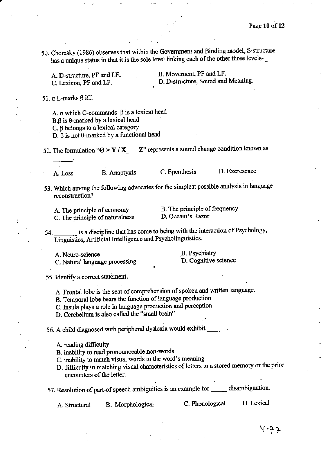50. Chomsky (1986) observes that within the Government and Binding model, S-structure has a unique status in that it is the sole level linking each of the other three levels-

| A. D-structure, PF and LF. | B. Movement, PF and LF.            |
|----------------------------|------------------------------------|
| C. Lexicon, PF and LF.     | D. D-structure, Sound and Meaning. |
|                            |                                    |

51.  $\alpha$  L-marks  $\beta$  iff:

A.  $\alpha$  which C-commands  $\beta$  is a lexical head

B.B is 0-marked by a lexical head

C. 8 belongs to a lexical category

D.  $\beta$  is not  $\theta$ -marked by a functional head

52. The formulation " $\varnothing$  > Y / X \_\_\_\_\_Z" represents a sound change condition known as

A. Loss

**B.** Anaptyxis

C. Epenthesis

D. Excresence

- 53. Which among the following advocates for the simplest possible analysis in language reconstruction?
	- A. The principle of economy C. The principle of naturalness

B. The principle of frequency

D. Occam's Razor

is a discipline that has come to being with the interaction of Psychology, 54. Linguistics, Artificial Intelligence and Psycholinguistics.

A. Neuro-science C. Natural language processing **B.** Psychiatry D. Cognitive science

55. Identify a correct statement.

A. Frontal lobe is the seat of comprehension of spoken and written language.

B. Temporal lobe bears the function of language production

- C. Insula plays a role in language production and perception
- D. Cerebellum is also called the "small brain"

56. A child diagnosed with peripheral dyslexia would exhibit \_\_\_\_\_\_\_.

A. reading difficulty

B. inability to read pronounceable non-words

C. inability to match visual words to the word's meaning

D. difficulty in matching visual characteristics of letters to a stored memory or the prior encounters of the letter.

57. Resolution of part-of speech ambiguities is an example for \_\_\_\_\_\_ disambiguation.

D. Lexical C. Phonological B. Morphological A. Structural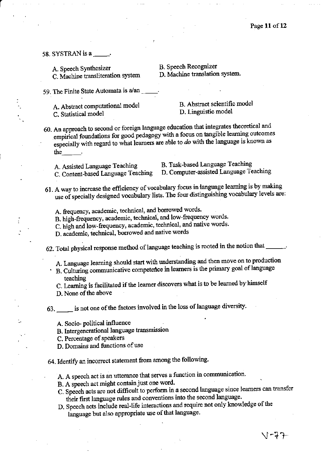58. SYSTRAN is a

A. Speech Synthesizer C. Machine transliteration system **B.** Speech Recognizer

D. Machine translation system.

59. The Finite State Automata is a/an

A. Abstract computational model C. Statistical model

B. Abstract scientific model D. Linguistic model

- 60. An approach to second or foreign language education that integrates theoretical and empirical foundations for good pedagogy with a focus on tangible learning outcomes especially with regard to what learners are able to  $do$  with the language is known as the
	- A. Assisted Language Teaching
- B. Task-based Language Teaching
- C. Content-based Language Teaching
- D. Computer-assisted Language Teaching
	-
- 61. A way to increase the efficiency of vocabulary focus in language learning is by making use of specially designed vocabulary lists. The four distinguishing vocabulary levels are:
	- A. frequency, academic, technical, and borrowed words.
	- B. high-frequency, academic, technical, and low-frequency words.
	- C. high and low-frequency, academic, technical, and native words.
	- D. academic, technical, borrowed and native words
- 62. Total physical response method of language teaching is rooted in the notion that
	- A. Language learning should start with understanding and then move on to production
	- B. Culturing communicative competence in learners is the primary goal of language teaching
		- C. Learning is facilitated if the learner discovers what is to be learned by himself
		- D. None of the above

63. is not one of the factors involved in the loss of language diversity.

- A. Socio-political influence
- B. Intergenerational language transmission
- C. Percentage of speakers
- D. Domains and functions of use
- 64. Identify an incorrect statement from among the following.
	- A. A speech act is an utterance that serves a function in communication.
	- B. A speech act might contain just one word.
	- C. Speech acts are not difficult to perform in a second language since learners can transfer their first language rules and conventions into the second language.
	- D. Speech acts include real-life interactions and require not only knowledge of the language but also appropriate use of that language.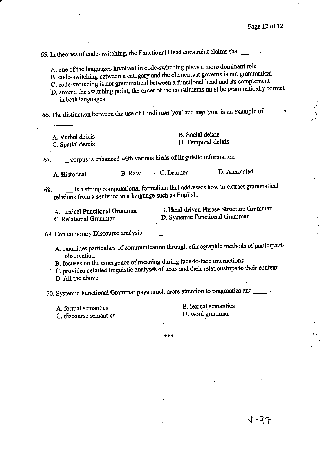65. In theories of code-switching, the Functional Head constraint claims that

A. one of the languages involved in code-switching plays a more dominant role

- B. code-switching between a category and the elements it governs is not grammatical
- C. code-switching is not grammatical between a functional head and its complement
- D. around the switching point, the order of the constituents must be grammatically correct in both languages
- 66. The distinction between the use of Hindi  $tum$  'you' and  $aap$  'you' is an example of

| A. Verbal deixis  | <b>B.</b> Social deixis |
|-------------------|-------------------------|
| C. Spatial deixis | D. Temporal deixis      |

67. \_\_\_\_\_ corpus is enhanced with various kinds of linguistic information

| D. Annotated |
|--------------|
| C. Learner   |

68. \_\_\_\_\_ is a strong computational formalism that addresses how to extract grammatical relations from a sentence in a language such as English.

- A. Lexical Functional Grammar C. Relational Grammar
- B. Head-driven Phrase Structure Grammar D. Systemic Functional Grammar
- 69. Contemporary Discourse analysis \_\_\_\_
	- A. examines particulars of communication through ethnographic methods of participantobservation
	- B. focuses on the emergence of meaning during face-to-face interactions
	- C. provides detailed linguistic analyses of texts and their relationships to their context
	- D. All the above.

70. Systemic Functional Grammar pays much more attention to pragmatics and \_\_\_\_\_.

A. formal semantics

C. discourse semantics

**B.** lexical semantics D. word grammar